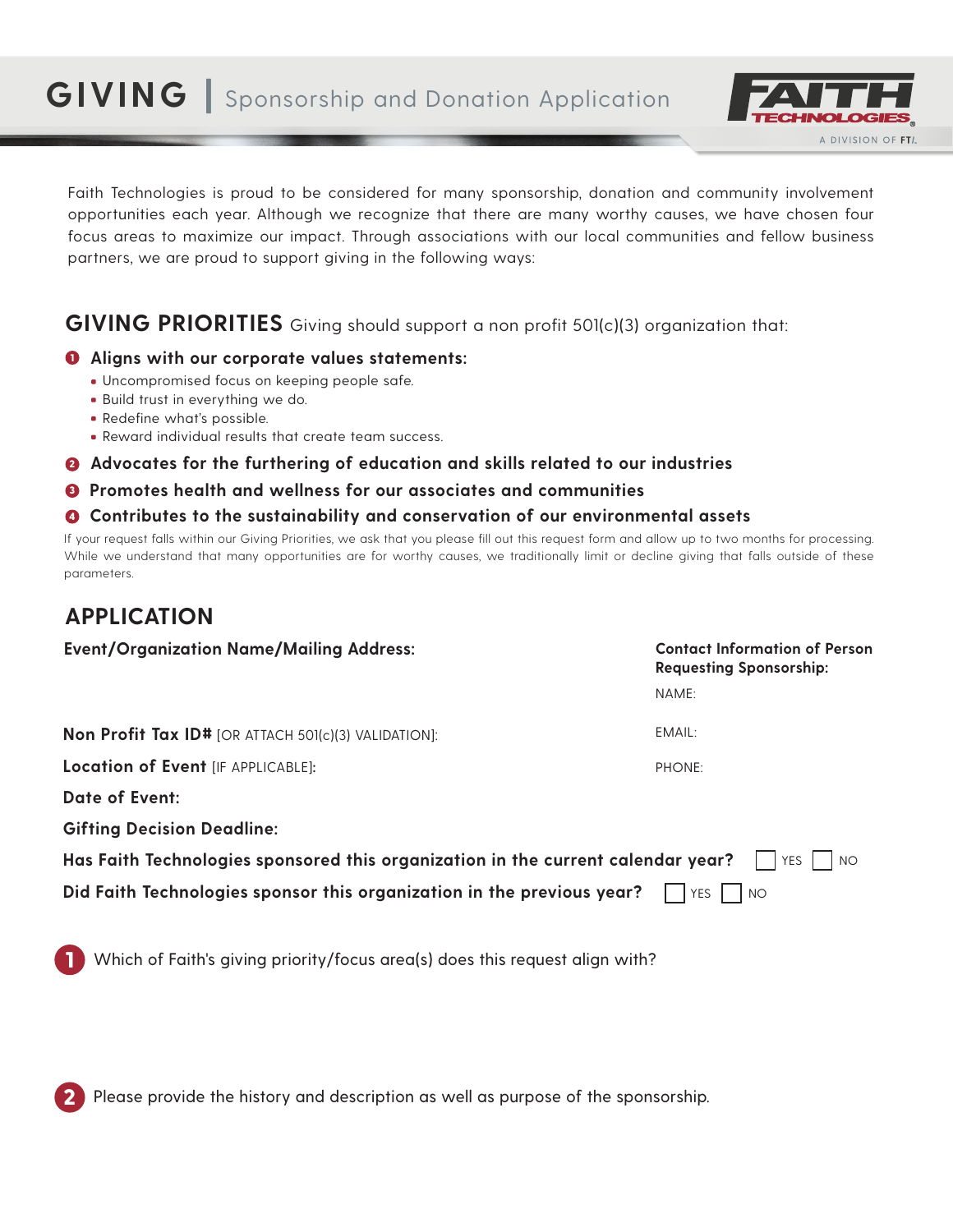# **GIVING |** Sponsorship and Donation Application



Faith Technologies is proud to be considered for many sponsorship, donation and community involvement opportunities each year. Although we recognize that there are many worthy causes, we have chosen four focus areas to maximize our impact. Through associations with our local communities and fellow business partners, we are proud to support giving in the following ways:

## **GIVING PRIORITIES** Giving should support a non profit 501(c)(3) organization that:

### **Aligns with our corporate values statements:**  1

- Uncompromised focus on keeping people safe.
- **Build trust in everything we do.**
- **Redefine what's possible.**
- Reward individual results that create team success.

#### **Advocates for the furthering of education and skills related to our industries** 2

**Promotes health and wellness for our associates and communities** 3

#### **Contributes to the sustainability and conservation of our environmental assets** 4

If your request falls within our Giving Priorities, we ask that you please fill out this request form and allow up to two months for processing. While we understand that many opportunities are for worthy causes, we traditionally limit or decline giving that falls outside of these parameters.

## **APPLICATION**

1

2

| <b>Event/Organization Name/Mailing Address:</b>                                                               | <b>Contact Information of Person</b><br><b>Requesting Sponsorship:</b> |
|---------------------------------------------------------------------------------------------------------------|------------------------------------------------------------------------|
|                                                                                                               | NAME:                                                                  |
| <b>Non Profit Tax ID#</b> [OR ATTACH 501(c)(3) VALIDATION]:                                                   | EMAIL:                                                                 |
| Location of Event [IF APPLICABLE]:                                                                            | PHONE:                                                                 |
| <b>Date of Event:</b>                                                                                         |                                                                        |
| <b>Gifting Decision Deadline:</b>                                                                             |                                                                        |
| Has Faith Technologies sponsored this organization in the current calendar year?<br>$ $ $ $ $YES$ $ $<br>I NO |                                                                        |
| Did Faith Technologies sponsor this organization in the previous year?                                        | YES  <br><b>NO</b>                                                     |
|                                                                                                               |                                                                        |
| Which of Faith's giving priority/focus area(s) does this request align with?                                  |                                                                        |

Please provide the history and description as well as purpose of the sponsorship.